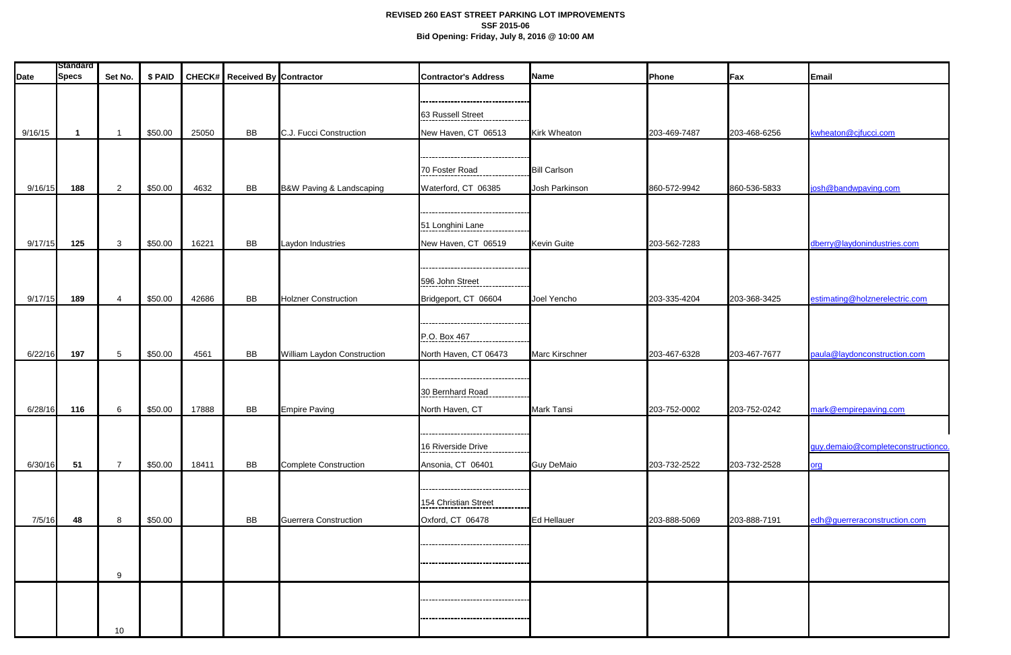|             | <b>Standard</b> |                 |         |       |                                      |                              |                                     |                     |              |              |                                    |
|-------------|-----------------|-----------------|---------|-------|--------------------------------------|------------------------------|-------------------------------------|---------------------|--------------|--------------|------------------------------------|
| <b>Date</b> | <b>Specs</b>    | Set No.         | \$ PAID |       | <b>CHECK# Received By Contractor</b> |                              | <b>Contractor's Address</b>         | Name                | Phone        | <b>Fax</b>   | Email                              |
|             |                 |                 |         |       |                                      |                              |                                     |                     |              |              |                                    |
|             |                 |                 |         |       |                                      |                              | 63 Russell Street                   |                     |              |              |                                    |
| 9/16/15     |                 | -1              | \$50.00 | 25050 | BB                                   | C.J. Fucci Construction      | New Haven, CT 06513                 | <b>Kirk Wheaton</b> | 203-469-7487 | 203-468-6256 | kwheaton@cjfucci.com               |
|             |                 |                 |         |       |                                      |                              |                                     |                     |              |              |                                    |
|             |                 |                 |         |       |                                      |                              | 70 Foster Road                      | <b>Bill Carlson</b> |              |              |                                    |
| 9/16/15     | 188             | $\overline{2}$  | \$50.00 | 4632  | BB                                   | B&W Paving & Landscaping     | Waterford, CT 06385                 | Josh Parkinson      | 860-572-9942 | 860-536-5833 | josh@bandwpaving.com               |
|             |                 |                 |         |       |                                      |                              |                                     |                     |              |              |                                    |
|             |                 |                 |         |       |                                      |                              |                                     |                     |              |              |                                    |
|             |                 |                 |         |       |                                      |                              | 51 Longhini Lane                    |                     |              |              |                                    |
| 9/17/15     | 125             | $\mathbf{3}$    | \$50.00 | 16221 | <b>BB</b>                            | Laydon Industries            | New Haven, CT 06519                 | <b>Kevin Guite</b>  | 203-562-7283 |              | dberry@laydonindustries.com        |
|             |                 |                 |         |       |                                      |                              |                                     |                     |              |              |                                    |
|             |                 |                 |         |       |                                      |                              | 596 John Street                     |                     |              |              |                                    |
| 9/17/15     | 189             | $\overline{4}$  | \$50.00 | 42686 | <b>BB</b>                            | <b>Holzner Construction</b>  | Bridgeport, CT 06604                | Joel Yencho         | 203-335-4204 | 203-368-3425 | estimating@holznerelectric.com     |
|             |                 |                 |         |       |                                      |                              |                                     |                     |              |              |                                    |
|             |                 |                 |         |       |                                      |                              | P.O. Box 467                        |                     |              |              |                                    |
| 6/22/16     | 197             | $5\overline{)}$ | \$50.00 | 4561  | <b>BB</b>                            | William Laydon Construction  | North Haven, CT 06473               | Marc Kirschner      | 203-467-6328 | 203-467-7677 | paula@laydonconstruction.com       |
|             |                 |                 |         |       |                                      |                              |                                     |                     |              |              |                                    |
|             |                 |                 |         |       |                                      |                              |                                     |                     |              |              |                                    |
|             |                 |                 |         |       |                                      |                              | 30 Bernhard Road                    |                     |              |              |                                    |
| 6/28/16     | 116             | $6\phantom{.}6$ | \$50.00 | 17888 | <b>BB</b>                            | <b>Empire Paving</b>         | North Haven, CT                     | Mark Tansi          | 203-752-0002 | 203-752-0242 | mark@empirepaving.com              |
|             |                 |                 |         |       |                                      |                              | --------------------------------    |                     |              |              |                                    |
|             |                 |                 |         |       |                                      |                              | 16 Riverside Drive                  |                     |              |              | guy.demaio@completeconstructionco. |
| 6/30/16     | 51              | $\overline{7}$  | \$50.00 | 18411 | <b>BB</b>                            | <b>Complete Construction</b> | Ansonia, CT 06401                   | <b>Guy DeMaio</b>   | 203-732-2522 | 203-732-2528 | org                                |
|             |                 |                 |         |       |                                      |                              |                                     |                     |              |              |                                    |
|             |                 |                 |         |       |                                      |                              |                                     |                     |              |              |                                    |
|             |                 |                 |         |       |                                      |                              | 154 Christian Street                |                     |              |              |                                    |
| 7/5/16      | 48              | 8               | \$50.00 |       | BB                                   | Guerrera Construction        | Oxford, CT 06478                    | Ed Hellauer         | 203-888-5069 | 203-888-7191 | edh@guerreraconstruction.com       |
|             |                 |                 |         |       |                                      |                              |                                     |                     |              |              |                                    |
|             |                 |                 |         |       |                                      |                              | ----------------------------------- |                     |              |              |                                    |
|             |                 | 9               |         |       |                                      |                              |                                     |                     |              |              |                                    |
|             |                 |                 |         |       |                                      |                              | -------------------------------     |                     |              |              |                                    |
|             |                 |                 |         |       |                                      |                              |                                     |                     |              |              |                                    |
|             |                 | 10 <sub>1</sub> |         |       |                                      |                              |                                     |                     |              |              |                                    |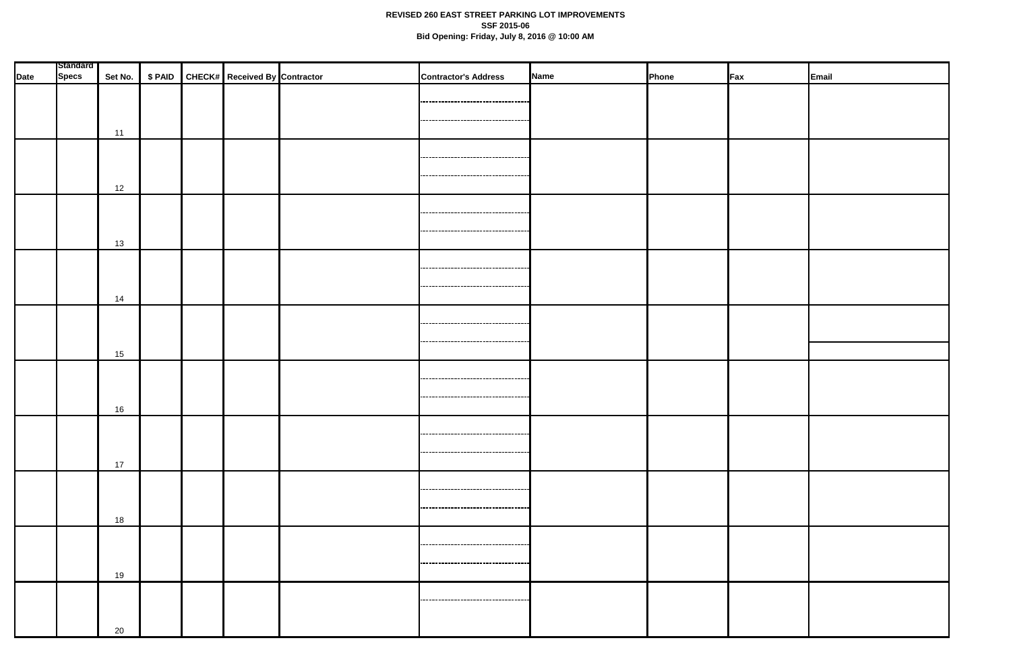| <b>Date</b> | <b>Standard</b><br><b>Specs</b> |    |  | Set No.   \$ PAID   CHECK#   Received By Contractor | <b>Contractor's Address</b>                                              | Name | Phone | Fax | Email |
|-------------|---------------------------------|----|--|-----------------------------------------------------|--------------------------------------------------------------------------|------|-------|-----|-------|
|             |                                 |    |  |                                                     |                                                                          |      |       |     |       |
|             |                                 |    |  |                                                     | --------------------------------<br>,,,,,,,,,,,,,,,,,,,,,,,,,,,,,,,,,,,, |      |       |     |       |
|             |                                 | 11 |  |                                                     |                                                                          |      |       |     |       |
|             |                                 |    |  |                                                     |                                                                          |      |       |     |       |
|             |                                 |    |  |                                                     |                                                                          |      |       |     |       |
|             |                                 | 12 |  |                                                     |                                                                          |      |       |     |       |
|             |                                 |    |  |                                                     | ----------------------------------                                       |      |       |     |       |
|             |                                 |    |  |                                                     |                                                                          |      |       |     |       |
|             |                                 | 13 |  |                                                     |                                                                          |      |       |     |       |
|             |                                 |    |  |                                                     | ,------------------------------------                                    |      |       |     |       |
|             |                                 |    |  |                                                     | ----------------------------------                                       |      |       |     |       |
|             |                                 | 14 |  |                                                     |                                                                          |      |       |     |       |
|             |                                 |    |  |                                                     |                                                                          |      |       |     |       |
|             |                                 | 15 |  |                                                     |                                                                          |      |       |     |       |
|             |                                 |    |  |                                                     |                                                                          |      |       |     |       |
|             |                                 |    |  |                                                     | .-----------------------------------                                     |      |       |     |       |
|             |                                 | 16 |  |                                                     | ----------------------------------                                       |      |       |     |       |
|             |                                 |    |  |                                                     |                                                                          |      |       |     |       |
|             |                                 |    |  |                                                     |                                                                          |      |       |     |       |
|             |                                 | 17 |  |                                                     | ,,,,,,,,,,,,,,,,,,,,,,,,,,,,,,,,,,,,,,                                   |      |       |     |       |
|             |                                 |    |  |                                                     |                                                                          |      |       |     |       |
|             |                                 |    |  |                                                     | ------------------------------------                                     |      |       |     |       |
|             |                                 | 18 |  |                                                     |                                                                          |      |       |     |       |
|             |                                 |    |  |                                                     |                                                                          |      |       |     |       |
|             |                                 |    |  |                                                     | ----------------------------------                                       |      |       |     |       |
|             |                                 | 19 |  |                                                     |                                                                          |      |       |     |       |
|             |                                 |    |  |                                                     | ------------------------------------                                     |      |       |     |       |
|             |                                 |    |  |                                                     |                                                                          |      |       |     |       |
|             |                                 | 20 |  |                                                     |                                                                          |      |       |     |       |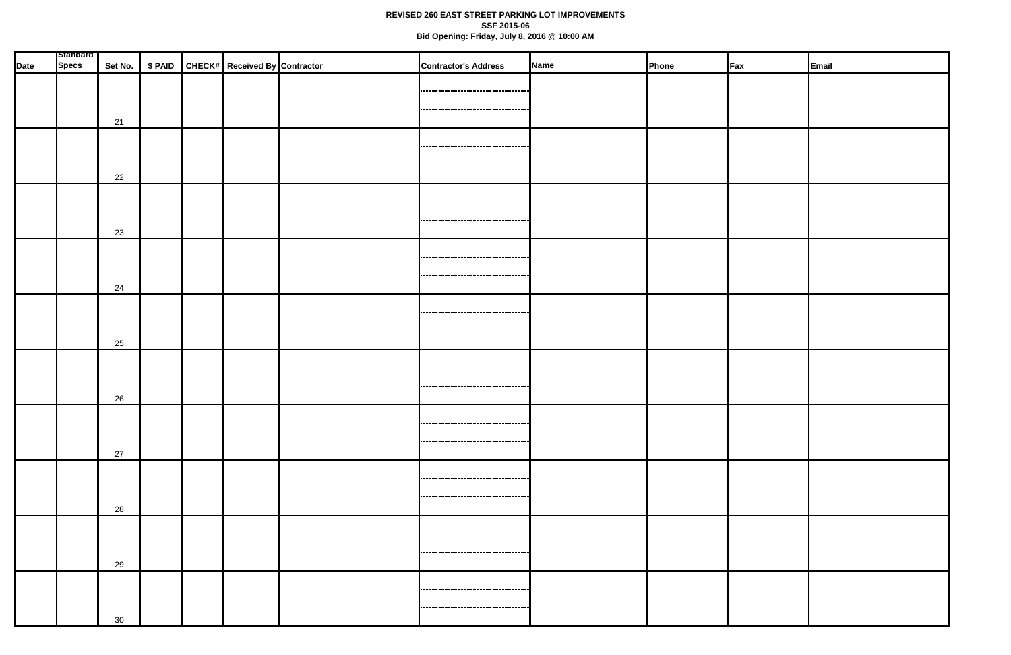| <b>Date</b> | Standard<br><b>Specs</b> |    |  | Set No.   \$ PAID   CHECK#   Received By Contractor | <b>Contractor's Address</b>                                                  | Name | Phone | $\mathsf{F}$ ax | Email |
|-------------|--------------------------|----|--|-----------------------------------------------------|------------------------------------------------------------------------------|------|-------|-----------------|-------|
|             |                          | 21 |  |                                                     | ----------------------------------<br>----------------------------------     |      |       |                 |       |
|             |                          | 22 |  |                                                     | -----------------------------------                                          |      |       |                 |       |
|             |                          | 23 |  |                                                     | ----------------------------------                                           |      |       |                 |       |
|             |                          | 24 |  |                                                     | ----------------------------------<br>                                       |      |       |                 |       |
|             |                          | 25 |  |                                                     | ,,,,,,,,,,,,,,,,,,,,,,,,,,,,,,,,,,,<br>----------------------------------    |      |       |                 |       |
|             |                          | 26 |  |                                                     | ----------------------------------<br>----------------------------------     |      |       |                 |       |
|             |                          | 27 |  |                                                     | -------------------------------------<br>                                    |      |       |                 |       |
|             |                          | 28 |  |                                                     |                                                                              |      |       |                 |       |
|             |                          | 29 |  |                                                     | -----------------------------------<br>-----------------------------------   |      |       |                 |       |
|             |                          | 30 |  |                                                     | -----------------------------------<br>,,,,,,,,,,,,,,,,,,,,,,,,,,,,,,,,,,,,, |      |       |                 |       |